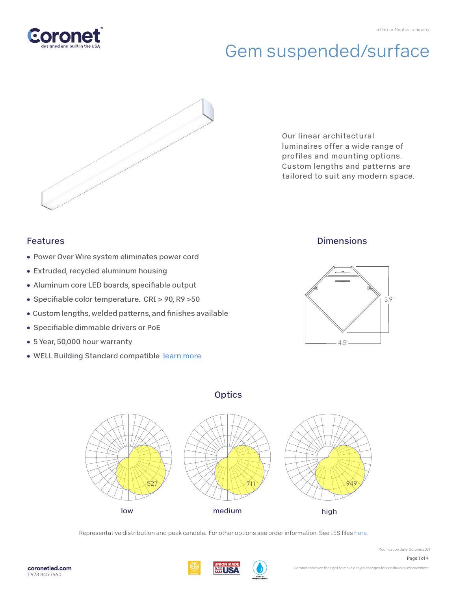



Our linear architectural luminaires offer a wide range of profiles and mounting options. Custom lengths and patterns are tailored to suit any modern space.

## Features

- Power Over Wire system eliminates power cord
- Extruded, recycled aluminum housing
- Aluminum core LED boards, specifiable output
- Specifiable color temperature. CRI > 90, R9 > 50
- Custom lengths, welded patterns, and finishes available
- Specifiable dimmable drivers or PoE
- 5 Year, 50,000 hour warranty
- WELL Building Standard compatible [learn more](https://coronetled.com/well-v2-standard/)

### **Dimensions**







Representative distribution and peak candela. For other options see order information. See IES file[s here.](https://coronetled.com/downloads/)

USI

Page 1 of 4

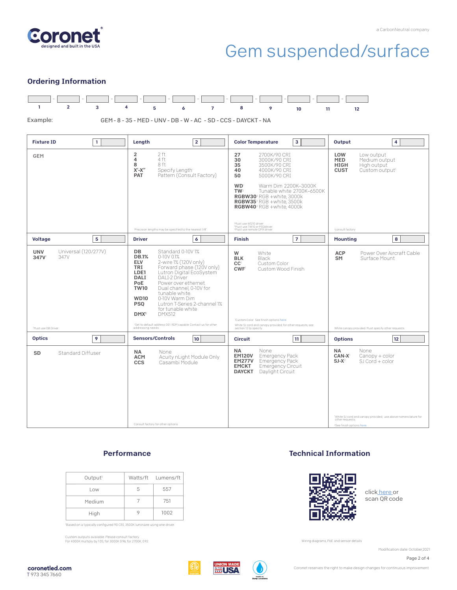

#### Ordering Information



#### **Performance**

| Output <sup>1</sup> |    | Watts/ft Lumens/ft |
|---------------------|----|--------------------|
| Low                 | b. | 557                |
| Medium              |    | 751                |
| High                |    | 1002               |

'Based on a typically configured 90 CRI, 3500K luminaire using one driver.

Custom outputs available. Please consult factory. For 4000K multiply by 1.05; for 3000K 0.96; for 2700K, 0.92.

#### Technical Information



clic[k here o](https://coronetled.com/warranty-technical-info/)r scan QR code

Wiring diagrams, PoE and sensor details

Modification date: October,2021

Page 2 of 4



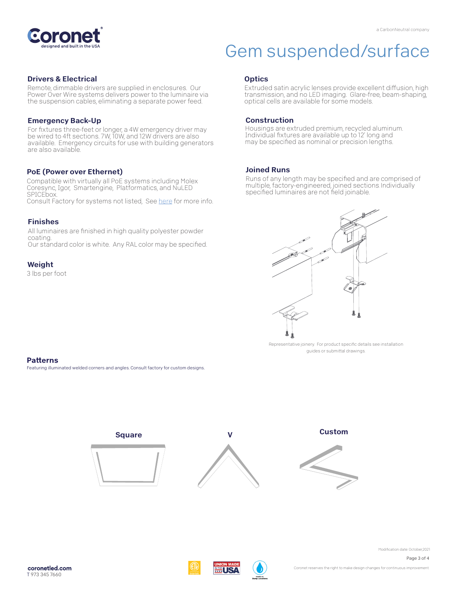

#### Drivers & Electrical

Remote, dimmable drivers are supplied in enclosures. Our Power Over Wire systems delivers power to the luminaire via the suspension cables, eliminating a separate power feed.

#### Emergency Back-Up

For fixtures three-feet or longer, a 4W emergency driver may be wired to 4ft sections. 7W, 10W, and 12W drivers are also available. Emergency circuits for use with building generators are also available.

#### PoE (Power over Ethernet)

Compatible with virtually all PoE systems including Molex Coresync, Igor, Smartengine, Platformatics, and NuLED SPICEbox. Consult Factory for systems not listed, See here for more info.

#### Finishes

All luminaires are finished in high quality polyester powder coating. Our standard color is white. Any RAL color may be specified.

#### Weight

3 lbs per foot

#### **Optics**

Extruded satin acrylic lenses provide excellent diffusion, high transmission, and no LED imaging. Glare-free, beam-shaping, optical cells are available for some models.

#### Construction

Housings are extruded premium, recycled aluminum. Individual fixtures are available up to 12' long and may be specified as nominal or precision lengths.

#### Joined Runs

Runs of any length may be specified and are comprised of multiple, factory-engineered, joined sections. Individually specified luminaires are not field joinable.



Representative joinery. For product specific details see installation guides or submittal drawings.

#### **Patterns**

Featuring illuminated welded corners and angles. Consult factory for custom designs.



Page 3 of 4